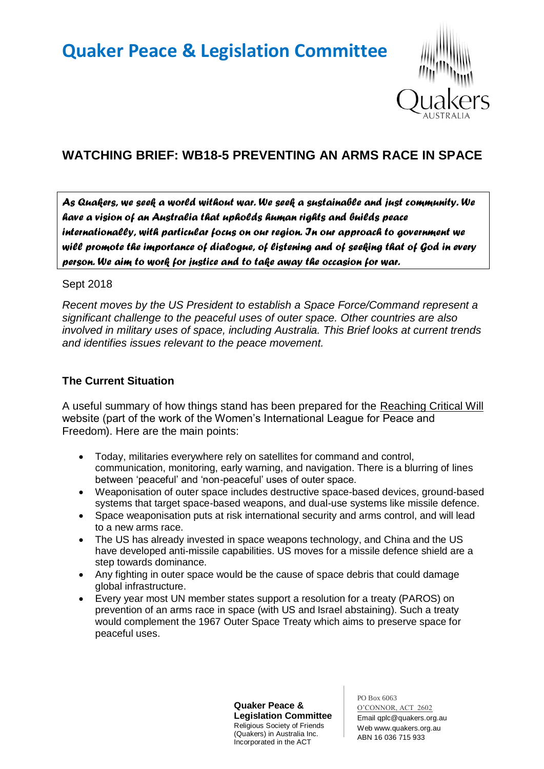

# **WATCHING BRIEF: WB18-5 PREVENTING AN ARMS RACE IN SPACE**

*As Quakers, we seek a world without war. We seek a sustainable and just community. We have a vision of an Australia that upholds human rights and builds peace internationally, with particular focus on our region. In our approach to government we will promote the importance of dialogue, of listening and of seeking that of God in every person. We aim to work for justice and to take away the occasion for war.* 

#### Sept 2018

*Recent moves by the US President to establish a Space Force/Command represent a significant challenge to the peaceful uses of outer space. Other countries are also involved in military uses of space, including Australia. This Brief looks at current trends and identifies issues relevant to the peace movement.*

# **The Current Situation**

A useful summary of how things stand has been prepared for the Reaching Critical Will website (part of the work of the Women's International League for Peace and Freedom). Here are the main points:

- Today, militaries everywhere rely on satellites for command and control, communication, monitoring, early warning, and navigation. There is a blurring of lines between 'peaceful' and 'non-peaceful' uses of outer space.
- Weaponisation of outer space includes destructive space-based devices, ground-based systems that target space-based weapons, and dual-use systems like missile defence.
- Space weaponisation puts at risk international security and arms control, and will lead to a new arms race.
- The US has already invested in space weapons technology, and China and the US have developed anti-missile capabilities. US moves for a missile defence shield are a step towards dominance.
- Any fighting in outer space would be the cause of space debris that could damage global infrastructure.
- Every year most UN member states support a resolution for a treaty (PAROS) on prevention of an arms race in space (with US and Israel abstaining). Such a treaty would complement the 1967 Outer Space Treaty which aims to preserve space for peaceful uses.

**Quaker Peace & Legislation Committee** Religious Society of Friends (Quakers) in Australia Inc. Incorporated in the ACT

PO Box 6063 O'CONNOR, ACT 2602 Email qplc@quakers.org.au Web www.quakers.org.au ABN 16 036 715 933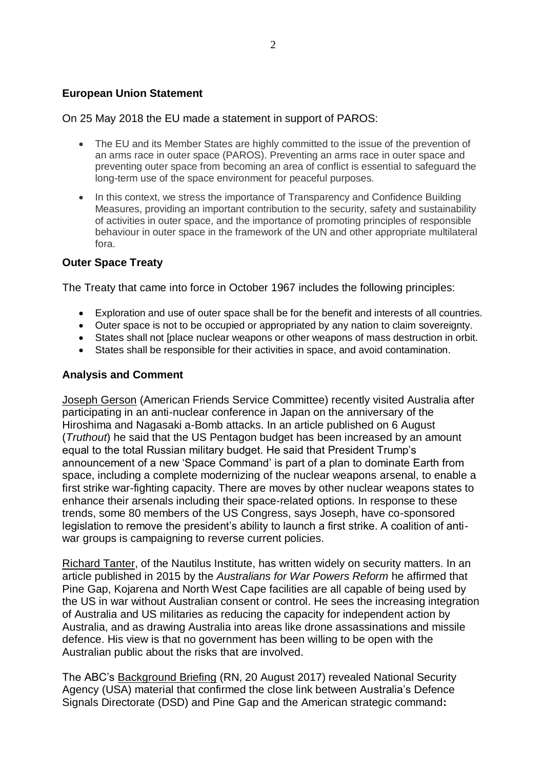#### **European Union Statement**

On 25 May 2018 the EU made a statement in support of PAROS:

- The EU and its Member States are highly committed to the issue of the prevention of an arms race in outer space (PAROS). Preventing an arms race in outer space and preventing outer space from becoming an area of conflict is essential to safeguard the long-term use of the space environment for peaceful purposes.
- In this context, we stress the importance of Transparency and Confidence Building Measures, providing an important contribution to the security, safety and sustainability of activities in outer space, and the importance of promoting principles of responsible behaviour in outer space in the framework of the UN and other appropriate multilateral fora.

## **Outer Space Treaty**

The Treaty that came into force in October 1967 includes the following principles:

- Exploration and use of outer space shall be for the benefit and interests of all countries.
- Outer space is not to be occupied or appropriated by any nation to claim sovereignty.
- States shall not [place nuclear weapons or other weapons of mass destruction in orbit.
- States shall be responsible for their activities in space, and avoid contamination.

## **Analysis and Comment**

Joseph Gerson (American Friends Service Committee) recently visited Australia after participating in an anti-nuclear conference in Japan on the anniversary of the Hiroshima and Nagasaki a-Bomb attacks. In an article published on 6 August (*Truthout*) he said that the US Pentagon budget has been increased by an amount equal to the total Russian military budget. He said that President Trump's announcement of a new 'Space Command' is part of a plan to dominate Earth from space, including a complete modernizing of the nuclear weapons arsenal, to enable a first strike war-fighting capacity. There are moves by other nuclear weapons states to enhance their arsenals including their space-related options. In response to these trends, some 80 members of the US Congress, says Joseph, have co-sponsored legislation to remove the president's ability to launch a first strike. A coalition of antiwar groups is campaigning to reverse current policies.

Richard Tanter, of the Nautilus Institute, has written widely on security matters. In an article published in 2015 by the *Australians for War Powers Reform* he affirmed that Pine Gap, Kojarena and North West Cape facilities are all capable of being used by the US in war without Australian consent or control. He sees the increasing integration of Australia and US militaries as reducing the capacity for independent action by Australia, and as drawing Australia into areas like drone assassinations and missile defence. His view is that no government has been willing to be open with the Australian public about the risks that are involved.

The ABC's Background Briefing (RN, 20 August 2017) revealed National Security Agency (USA) material that confirmed the close link between Australia's Defence Signals Directorate (DSD) and Pine Gap and the American strategic command**:**